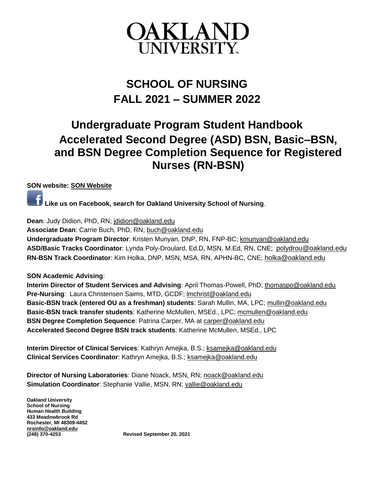

# **SCHOOL OF NURSING FALL 2021 – SUMMER 2022**

# **Undergraduate Program Student Handbook Accelerated Second Degree (ASD) BSN, Basic–BSN, and BSN Degree Completion Sequence for Registered Nurses (RN-BSN)**

#### **SON website: [SON Website](https://www.oakland.edu/nursing/)**

**Like us on Facebook, search for Oakland University School of Nursing**.

**Dean**: Judy Didion, PhD, RN; [jdidion@oakland.edu](mailto:jdidion@oakland.edu)

**Associate Dean**: Carrie Buch, PhD, RN; [buch@oakland.edu](mailto:buch@oakland.edu) **Undergraduate Program Director**: Kristen Munyan, DNP, RN, FNP-BC[; kmunyan@oakland.edu](mailto:kmunyan@oakland.edu)

**ASD/Basic Tracks Coordinator**: Lynda Poly-Droulard, [Ed.D, MSN, M.Ed, RN, CNE;](mailto:Ed.D,%20MSN,%20M.Ed,%20RN,%20CNE) [polydrou@oakland.edu](file:///C:/Users/buch/Downloads/polydrou@oakland.edu) **RN-BSN Track Coordinator**: Kim Holka, DNP, MSN, MSA, RN, APHN-BC, CNE; [holka@oakland.edu](file:///C:/Users/buch/Downloads/holka@oakland.edu)

**SON Academic Advising**:

**Interim Director of Student Services and Advising**: April Thomas-Powell, PhD; [thomaspo@oakland.edu](mailto:thomaspo@oakland.edu) **Pre-Nursing**: Laura Christensen Saims, MTD, GCDF; [lmchrist@oakland.edu](mailto:lmchrist@oakland.edu) **Basic-BSN track (entered OU as a freshman) students**: Sarah Mullin, MA, LPC; [mullin@oakland.edu](mailto:mullin@oakland.edu) **Basic-BSN track transfer students**: Katherine McMullen, MSEd., LPC; [mcmullen@oakland.edu](mailto:mcmullen@oakland.edu) **BSN Degree Completion Sequence**: Patrina Carper, MA at [carper@oakland.edu](mailto:carper@oakland.edu) **Accelerated Second Degree BSN track students**: Katherine McMullen, MSEd., LPC

**Interim Director of Clinical Services**: Kathryn Amejka, B.S.; [ksamejka@oakland.edu](mailto:ksamejka@oakland.edu) **Clinical Services Coordinator**: Kathryn Amejka, B.S.; [ksamejka@oakland.edu](mailto:ksamejka@oakland.edu)

**Director of Nursing Laboratories**: Diane Noack, MSN, RN; [noack@oakland.edu](mailto:noack@oakland.edu) **Simulation Coordinator**: Stephanie Vallie, MSN, RN; [vallie@oakland.edu](mailto:vallie@oakland.edu)

**Oakland University School of Nursing Human Health Building 433 Meadowbrook Rd Rochester, MI 48309-4452 [nrsinfo@oakland.edu](about:blank)**

**(248) 370-4253 Revised September 20, 2021**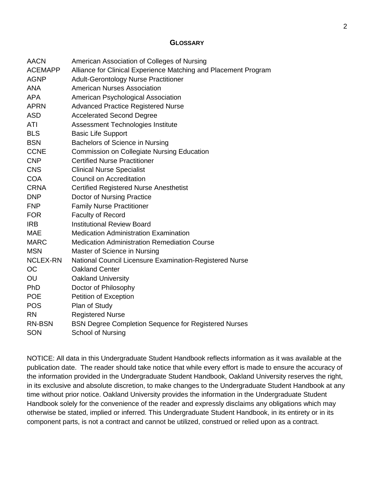#### <span id="page-1-0"></span>**G[LOSSARY](#page-2-0)**

| <b>AACN</b>     | American Association of Colleges of Nursing                     |
|-----------------|-----------------------------------------------------------------|
| <b>ACEMAPP</b>  | Alliance for Clinical Experience Matching and Placement Program |
| <b>AGNP</b>     | <b>Adult-Gerontology Nurse Practitioner</b>                     |
| <b>ANA</b>      | <b>American Nurses Association</b>                              |
| <b>APA</b>      | American Psychological Association                              |
| <b>APRN</b>     | <b>Advanced Practice Registered Nurse</b>                       |
| <b>ASD</b>      | <b>Accelerated Second Degree</b>                                |
| ATI             | Assessment Technologies Institute                               |
| <b>BLS</b>      | <b>Basic Life Support</b>                                       |
| <b>BSN</b>      | Bachelors of Science in Nursing                                 |
| <b>CCNE</b>     | <b>Commission on Collegiate Nursing Education</b>               |
| <b>CNP</b>      | <b>Certified Nurse Practitioner</b>                             |
| <b>CNS</b>      | <b>Clinical Nurse Specialist</b>                                |
| <b>COA</b>      | <b>Council on Accreditation</b>                                 |
| <b>CRNA</b>     | <b>Certified Registered Nurse Anesthetist</b>                   |
| <b>DNP</b>      | Doctor of Nursing Practice                                      |
| <b>FNP</b>      | <b>Family Nurse Practitioner</b>                                |
| <b>FOR</b>      | Faculty of Record                                               |
| <b>IRB</b>      | <b>Institutional Review Board</b>                               |
| <b>MAE</b>      | <b>Medication Administration Examination</b>                    |
| <b>MARC</b>     | <b>Medication Administration Remediation Course</b>             |
| <b>MSN</b>      | Master of Science in Nursing                                    |
| <b>NCLEX-RN</b> | National Council Licensure Examination-Registered Nurse         |
| OC              | <b>Oakland Center</b>                                           |
| OU              | <b>Oakland University</b>                                       |
| <b>PhD</b>      | Doctor of Philosophy                                            |
| <b>POE</b>      | Petition of Exception                                           |
| <b>POS</b>      | Plan of Study                                                   |
| <b>RN</b>       | <b>Registered Nurse</b>                                         |
| <b>RN-BSN</b>   | <b>BSN Degree Completion Sequence for Registered Nurses</b>     |
| SON             | <b>School of Nursing</b>                                        |

NOTICE: All data in this Undergraduate Student Handbook reflects information as it was available at the publication date. The reader should take notice that while every effort is made to ensure the accuracy of the information provided in the Undergraduate Student Handbook, Oakland University reserves the right, in its exclusive and absolute discretion, to make changes to the Undergraduate Student Handbook at any time without prior notice. Oakland University provides the information in the Undergraduate Student Handbook solely for the convenience of the reader and expressly disclaims any obligations which may otherwise be stated, implied or inferred. This Undergraduate Student Handbook, in its entirety or in its component parts, is not a contract and cannot be utilized, construed or relied upon as a contract.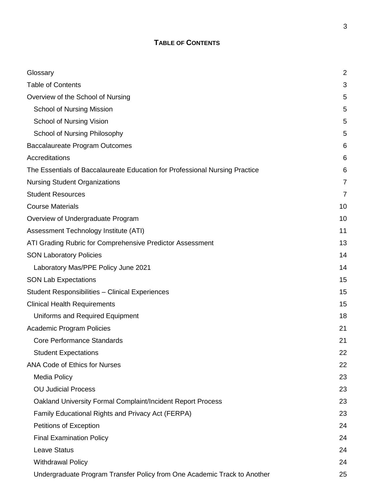# **TABLE OF CONTENTS**

<span id="page-2-0"></span>

| Glossary                                                                    | $\overline{2}$ |
|-----------------------------------------------------------------------------|----------------|
| <b>Table of Contents</b>                                                    | 3              |
| Overview of the School of Nursing                                           | 5              |
| <b>School of Nursing Mission</b>                                            | 5              |
| School of Nursing Vision                                                    | 5              |
| School of Nursing Philosophy                                                | 5              |
| Baccalaureate Program Outcomes                                              | 6              |
| Accreditations                                                              | 6              |
| The Essentials of Baccalaureate Education for Professional Nursing Practice | 6              |
| <b>Nursing Student Organizations</b>                                        | 7              |
| <b>Student Resources</b>                                                    | 7              |
| <b>Course Materials</b>                                                     | 10             |
| Overview of Undergraduate Program                                           | 10             |
| Assessment Technology Institute (ATI)                                       | 11             |
| ATI Grading Rubric for Comprehensive Predictor Assessment                   | 13             |
| <b>SON Laboratory Policies</b>                                              | 14             |
| Laboratory Mas/PPE Policy June 2021                                         | 14             |
| <b>SON Lab Expectations</b>                                                 | 15             |
| <b>Student Responsibilities - Clinical Experiences</b>                      | 15             |
| <b>Clinical Health Requirements</b>                                         | 15             |
| Uniforms and Required Equipment                                             | 18             |
| <b>Academic Program Policies</b>                                            | 21             |
| <b>Core Performance Standards</b>                                           | 21             |
| <b>Student Expectations</b>                                                 | 22             |
| <b>ANA Code of Ethics for Nurses</b>                                        | 22             |
| <b>Media Policy</b>                                                         | 23             |
| <b>OU Judicial Process</b>                                                  | 23             |
| Oakland University Formal Complaint/Incident Report Process                 | 23             |
| Family Educational Rights and Privacy Act (FERPA)                           | 23             |
| Petitions of Exception                                                      | 24             |
| <b>Final Examination Policy</b>                                             | 24             |
| <b>Leave Status</b>                                                         | 24             |
| <b>Withdrawal Policy</b>                                                    | 24             |
| Undergraduate Program Transfer Policy from One Academic Track to Another    | 25             |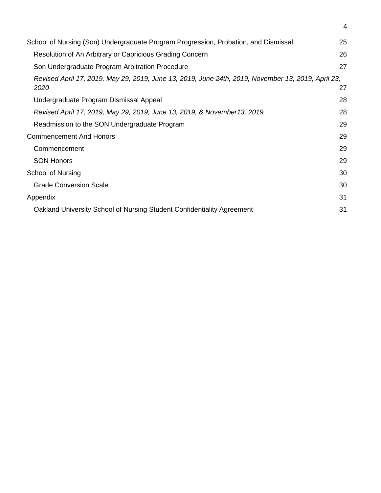| School of Nursing (Son) Undergraduate Program Progression, Probation, and Dismissal                        | 25 |
|------------------------------------------------------------------------------------------------------------|----|
| Resolution of An Arbitrary or Capricious Grading Concern                                                   | 26 |
| Son Undergraduate Program Arbitration Procedure                                                            | 27 |
| Revised April 17, 2019, May 29, 2019, June 13, 2019, June 24th, 2019, November 13, 2019, April 23,<br>2020 | 27 |
| Undergraduate Program Dismissal Appeal                                                                     | 28 |
| Revised April 17, 2019, May 29, 2019, June 13, 2019, & November13, 2019                                    | 28 |
| Readmission to the SON Undergraduate Program                                                               | 29 |
| <b>Commencement And Honors</b>                                                                             | 29 |
| Commencement                                                                                               | 29 |
| <b>SON Honors</b>                                                                                          | 29 |
| School of Nursing                                                                                          | 30 |
| <b>Grade Conversion Scale</b>                                                                              | 30 |
| Appendix                                                                                                   | 31 |
| Oakland University School of Nursing Student Confidentiality Agreement                                     | 31 |

4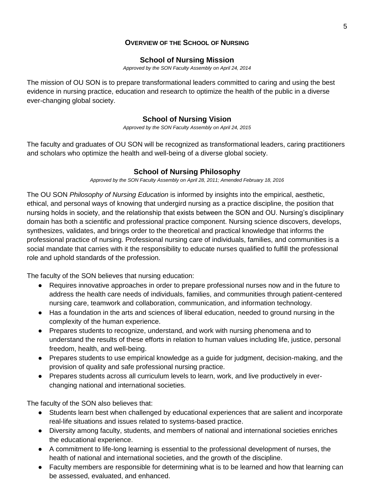## <span id="page-4-0"></span>**O[VERVIEW OF THE](#page-4-0) SCHOOL OF NURSING**

#### <span id="page-4-1"></span>**[School of Nursing Mission](#page-4-1)**

*Approved by the SON Faculty Assembly on April 24, 2014*

The mission of OU SON is to prepare transformational leaders committed to caring and using the best evidence in nursing practice, education and research to optimize the health of the public in a diverse ever-changing global society.

## <span id="page-4-2"></span>**[School of Nursing Vision](#page-4-2)**

*Approved by the SON Faculty Assembly on April 24, 2015*

The faculty and graduates of OU SON will be recognized as transformational leaders, caring practitioners and scholars who optimize the health and well-being of a diverse global society.

## <span id="page-4-3"></span>**[School of Nursing Philosophy](#page-4-3)**

*Approved by the SON Faculty Assembly on April 28, 2011; Amended February 18, 2016*

The OU SON *Philosophy of Nursing Education* is informed by insights into the empirical, aesthetic, ethical, and personal ways of knowing that undergird nursing as a practice discipline, the position that nursing holds in society, and the relationship that exists between the SON and OU. Nursing's disciplinary domain has both a scientific and professional practice component. Nursing science discovers, develops, synthesizes, validates, and brings order to the theoretical and practical knowledge that informs the professional practice of nursing. Professional nursing care of individuals, families, and communities is a social mandate that carries with it the responsibility to educate nurses qualified to fulfill the professional role and uphold standards of the profession.

The faculty of the SON believes that nursing education:

- Requires innovative approaches in order to prepare professional nurses now and in the future to address the health care needs of individuals, families, and communities through patient-centered nursing care, teamwork and collaboration, communication, and information technology.
- Has a foundation in the arts and sciences of liberal education, needed to ground nursing in the complexity of the human experience.
- Prepares students to recognize, understand, and work with nursing phenomena and to understand the results of these efforts in relation to human values including life, justice, personal freedom, health, and well-being.
- Prepares students to use empirical knowledge as a guide for judgment, decision-making, and the provision of quality and safe professional nursing practice.
- Prepares students across all curriculum levels to learn, work, and live productively in everchanging national and international societies.

The faculty of the SON also believes that:

- Students learn best when challenged by educational experiences that are salient and incorporate real-life situations and issues related to systems-based practice.
- Diversity among faculty, students, and members of national and international societies enriches the educational experience.
- A commitment to life-long learning is essential to the professional development of nurses, the health of national and international societies, and the growth of the discipline.
- Faculty members are responsible for determining what is to be learned and how that learning can be assessed, evaluated, and enhanced.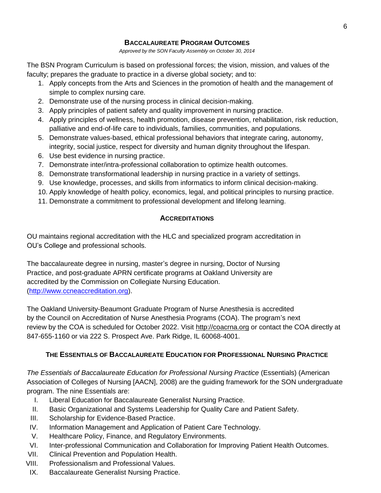## <span id="page-5-0"></span>**B[ACCALAUREATE](#page-5-0) PROGRAM OUTCOMES**

*Approved by the SON Faculty Assembly on October 30, 2014*

The BSN Program Curriculum is based on professional forces; the vision, mission, and values of the faculty; prepares the graduate to practice in a diverse global society; and to:

- 1. Apply concepts from the Arts and Sciences in the promotion of health and the management of simple to complex nursing care.
- 2. Demonstrate use of the nursing process in clinical decision-making.
- 3. Apply principles of patient safety and quality improvement in nursing practice.
- 4. Apply principles of wellness, health promotion, disease prevention, rehabilitation, risk reduction, palliative and end-of-life care to individuals, families, communities, and populations.
- 5. Demonstrate values-based, ethical professional behaviors that integrate caring, autonomy, integrity, social justice, respect for diversity and human dignity throughout the lifespan.
- 6. Use best evidence in nursing practice.
- 7. Demonstrate inter/intra-professional collaboration to optimize health outcomes.
- 8. Demonstrate transformational leadership in nursing practice in a variety of settings.
- 9. Use knowledge, processes, and skills from informatics to inform clinical decision-making.
- 10. Apply knowledge of health policy, economics, legal, and political principles to nursing practice.
- 11. Demonstrate a commitment to professional development and lifelong learning.

## <span id="page-5-1"></span>**A[CCREDITATIONS](#page-5-1)**

OU maintains regional accreditation with the HLC and specialized program accreditation in OU's College and professional schools.

The baccalaureate degree in nursing, master's degree in nursing, Doctor of Nursing Practice, and post-graduate APRN certificate programs at Oakland University are accredited by the Commission on Collegiate Nursing Education. [\(http://www.ccneaccreditation.org\)](http://www.ccneaccreditation.org/).

The Oakland University-Beaumont Graduate Program of Nurse Anesthesia is accredited by the Council on Accreditation of Nurse Anesthesia Programs (COA). The program's next review by the COA is scheduled for October 2022. Visit [http://coacrna.org](http://coacrna.org/) or contact the COA directly at 847-655-1160 or via 222 S. Prospect Ave. Park Ridge, IL 60068-4001.

## **THE ESSENTIALS OF BACCALAUREATE EDUCATION FOR PROFESSIONAL NURSING PRACTICE**

<span id="page-5-2"></span>*The Essentials of Baccalaureate Education for Professional Nursing Practice* (Essentials) (American Association of Colleges of Nursing [AACN], 2008) are the guiding framework for the SON undergraduate program. The nine Essentials are:

- I. Liberal Education for Baccalaureate Generalist Nursing Practice.
- II. Basic Organizational and Systems Leadership for Quality Care and Patient Safety.
- III. Scholarship for Evidence-Based Practice.
- IV. Information Management and Application of Patient Care Technology.
- V. Healthcare Policy, Finance, and Regulatory Environments.
- VI. Inter-professional Communication and Collaboration for Improving Patient Health Outcomes.
- VII. Clinical Prevention and Population Health.
- VIII. Professionalism and Professional Values.
- IX. Baccalaureate Generalist Nursing Practice.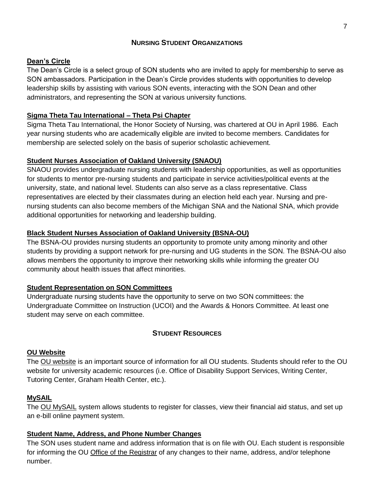## <span id="page-6-0"></span>**NURSING STUDENT O[RGANIZATIONS](#page-6-0)**

#### **Dean's Circle**

The Dean's Circle is a select group of SON students who are invited to apply for membership to serve as SON ambassadors. Participation in the Dean's Circle provides students with opportunities to develop leadership skills by assisting with various SON events, interacting with the SON Dean and other administrators, and representing the SON at various university functions.

## **Sigma Theta Tau International – Theta Psi Chapter**

Sigma Theta Tau International, the Honor Society of Nursing, was chartered at OU in April 1986. Each year nursing students who are academically eligible are invited to become members. Candidates for membership are selected solely on the basis of superior scholastic achievement.

## **Student Nurses Association of Oakland University (SNAOU)**

SNAOU provides undergraduate nursing students with leadership opportunities, as well as opportunities for students to mentor pre-nursing students and participate in service activities/political events at the university, state, and national level. Students can also serve as a class representative. Class representatives are elected by their classmates during an election held each year. Nursing and prenursing students can also become members of the Michigan SNA and the National SNA, which provide additional opportunities for networking and leadership building.

## **Black Student Nurses Association of Oakland University (BSNA-OU)**

The BSNA-OU provides nursing students an opportunity to promote unity among minority and other students by providing a support network for pre-nursing and UG students in the SON. The BSNA-OU also allows members the opportunity to improve their networking skills while informing the greater OU community about health issues that affect minorities.

#### **Student Representation on SON Committees**

Undergraduate nursing students have the opportunity to serve on two SON committees: the Undergraduate Committee on Instruction (UCOI) and the Awards & Honors Committee. At least one student may serve on each committee.

## <span id="page-6-1"></span>**STUDENT R[ESOURCES](#page-6-1)**

#### **OU Website**

The [OU website](https://www.oakland.edu/) is an important source of information for all OU students. Students should refer to the [OU](about:blank)  [website](about:blank) for university academic resources (i.e. Office of Disability Support Services, Writing Center, Tutoring Center, Graham Health Center, etc.).

#### **MySAIL**

The [OU MySAIL](https://sso.oakland.edu/idp/profile/cas/login?execution=e1s1) system allows students to register for classes, view their financial aid status, and set up an e-bill online payment system.

#### **[Student Name, Address, and Phone Number Changes](about:blank)**

The SON uses student name and address information that is on file with OU. Each student is responsible for informing the OU [Office of the Registrar](https://www.oakland.edu/registrar/) of any changes to their name, address, and/or telephone number.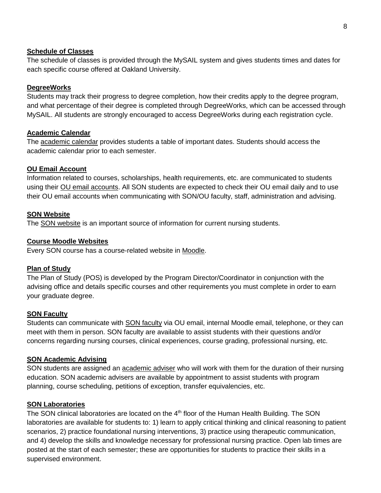#### **[Schedule of Classes](about:blank)**

The schedule of classes is provided through the MySAIL system and gives students times and dates for each specific course offered at Oakland University.

#### **DegreeWorks**

Students may track their progress to degree completion, how their credits apply to the degree program, and what percentage of their degree is completed through DegreeWorks, which can be accessed through MySAIL. All students are strongly encouraged to access DegreeWorks during each registration cycle.

#### **[Academic](about:blank) Calendar**

The [academic calendar](https://www.oakland.edu/medicine/curriculum/academic-calendar/) provides students a table of important dates. Students should access the academic calendar prior to each semester.

#### **[OU Email Account](about:blank)**

Information related to courses, scholarships, health requirements, etc. are communicated to students using their [OU email](about:blank) accounts. All SON students are expected to check their OU email daily and to use their OU email accounts when communicating with SON/OU faculty, staff, administration and advising.

#### **[SON Website](about:blank)**

The [SON website](https://www.oakland.edu/nursing/) is an important source of information for current nursing students.

#### **[Course Moodle Websites](about:blank)**

Every SON course has a course-related website in [Moodle.](https://moodle.oakland.edu/login/index.php)

#### **Plan of Study**

The Plan of Study (POS) is developed by the Program Director/Coordinator in conjunction with the advising office and details specific courses and other requirements you must complete in order to earn your graduate degree.

#### **[SON Faculty](about:blank)**

Students can communicate with [SON faculty](https://www.oakland.edu/nursing/directory/) via OU email, internal Moodle email, telephone, or they can meet with them in person. SON faculty are available to assist students with their questions and/or concerns regarding nursing courses, clinical experiences, course grading, professional nursing, etc.

#### **[SON Academic Advising](about:blank)**

SON students are assigned an [academic adviser](https://www.oakland.edu/nursing/directory/) who will work with them for the duration of their nursing education. SON academic advisers are available by appointment to assist students with program planning, course scheduling, petitions of exception, transfer equivalencies, etc.

#### **SON Laboratories**

The SON clinical laboratories are located on the  $4<sup>th</sup>$  floor of the Human Health Building. The SON laboratories are available for students to: 1) learn to apply critical thinking and clinical reasoning to patient scenarios, 2) practice foundational nursing interventions, 3) practice using therapeutic communication, and 4) develop the skills and knowledge necessary for professional nursing practice. Open lab times are posted at the start of each semester; these are opportunities for students to practice their skills in a supervised environment.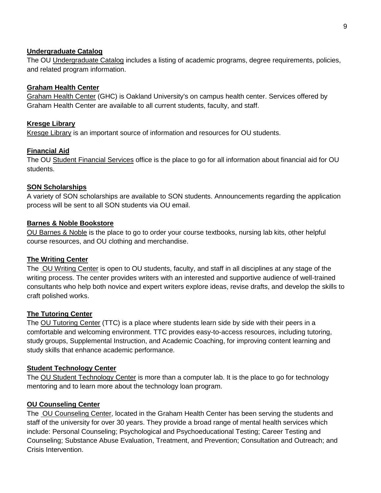#### **Undergraduate Catalog**

The OU [Undergraduate Catalog](http://catalog.oakland.edu/) includes a listing of academic programs, degree requirements, policies, and related program information.

#### **Graham Health Center**

[Graham Health Center](https://www.oakland.edu/ghc/) (GHC) is Oakland University's on campus health center. Services offered by Graham Health Center are available to all current students, faculty, and staff.

#### **Kresge Library**

[Kresge Library](https://library.oakland.edu/) is an important source of information and resources for OU students.

#### **Financial Aid**

The OU [Student Financial Services](https://www.oakland.edu/financialservices/costs/) office is the place to go for all information about financial aid for OU students.

#### **SON Scholarships**

A variety of SON scholarships are available to SON students. Announcements regarding the application process will be sent to all SON students via OU email.

#### **Barnes & Noble Bookstore**

[OU Barnes & Noble](https://oakland.bncollege.com/shop/oakland/home) is the place to go to order your course textbooks, nursing lab kits, other helpful course resources, and OU clothing and merchandise.

#### **The Writing Center**

The OU [Writing Center](https://www.oakland.edu/ouwc/) is open to OU students, faculty, and staff in all disciplines at any stage of the writing process. The center provides writers with an interested and supportive audience of well-trained consultants who help both novice and expert writers explore ideas, revise drafts, and develop the skills to craft polished works.

#### **The Tutoring Center**

The [OU Tutoring Center](file:///C:/Users/buch/Downloads/OU%20Tutoring%20Center) (TTC) is a place where students learn side by side with their peers in a comfortable and welcoming environment. TTC provides easy-to-access resources, including tutoring, study groups, Supplemental Instruction, and Academic Coaching, for improving content learning and study skills that enhance academic performance.

#### **Student Technology Center**

The [OU Student Technology Center](https://www.oakland.edu/stc/) is more than a computer lab. It is the place to go for technology mentoring and to learn more about the technology loan program.

#### **OU Counseling Center**

The OU [Counseling Center,](file:///C:/Users/drumley/Downloads/oakland.edu/oucc/) located in the Graham Health Center has been serving the students and staff of the university for over 30 years. They provide a broad range of mental health services which include: Personal Counseling; Psychological and Psychoeducational Testing; Career Testing and Counseling; Substance Abuse Evaluation, Treatment, and Prevention; Consultation and Outreach; and Crisis Intervention.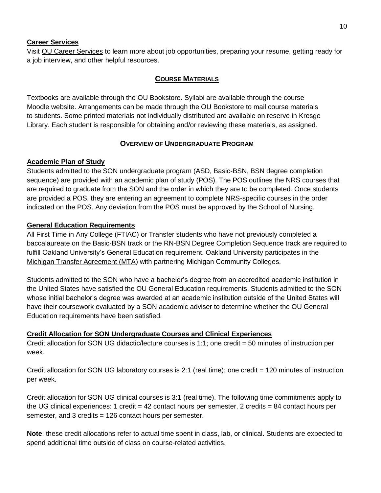#### **Career Services**

Visit [OU Career Services](https://www.oakland.edu/careerservices/) to learn more about job opportunities, preparing your resume, getting ready for a job interview, and other helpful resources.

#### <span id="page-9-0"></span>**COURSE M[ATERIALS](#page-9-0)**

Textbooks are available through the [OU Bookstore.](https://oakland.bncollege.com/shop/oakland/home) Syllabi are available through the course Moodle website. Arrangements can be made through the OU Bookstore to mail course materials to students. Some printed materials not individually distributed are available on reserve in Kresge Library. Each student is responsible for obtaining and/or reviewing these materials, as assigned.

#### <span id="page-9-1"></span>**OVERVIEW OF U[NDERGRADUATE](#page-9-1) PROGRAM**

#### **Academic Plan of Study**

Students admitted to the SON undergraduate program (ASD, Basic-BSN, BSN degree completion sequence) are provided with an academic plan of study (POS). The POS outlines the NRS courses that are required to graduate from the SON and the order in which they are to be completed. Once students are provided a POS, they are entering an agreement to complete NRS-specific courses in the order indicated on the POS. Any deviation from the POS must be approved by the School of Nursing.

#### **General Education Requirements**

All First Time in Any College (FTIAC) or Transfer students who have not previously completed a baccalaureate on the Basic-BSN track or the RN-BSN Degree Completion Sequence track are required to fulfill Oakland University's General Education requirement. Oakland University participates in the [Michigan Transfer Agreement \(MTA\)](https://www.oakland.edu/Assets/upload/LandingPages/mtaInfographic/) with partnering Michigan Community Colleges.

Students admitted to the SON who have a bachelor's degree from an accredited academic institution in the United States have satisfied the OU General Education requirements. Students admitted to the SON whose initial bachelor's degree was awarded at an academic institution outside of the United States will have their coursework evaluated by a SON academic adviser to determine whether the OU General Education requirements have been satisfied.

#### **Credit Allocation for SON Undergraduate Courses and Clinical Experiences**

Credit allocation for SON UG didactic/lecture courses is 1:1; one credit = 50 minutes of instruction per week.

Credit allocation for SON UG laboratory courses is 2:1 (real time); one credit = 120 minutes of instruction per week.

Credit allocation for SON UG clinical courses is 3:1 (real time). The following time commitments apply to the UG clinical experiences: 1 credit = 42 contact hours per semester, 2 credits = 84 contact hours per semester, and 3 credits = 126 contact hours per semester.

<span id="page-9-2"></span>**Note**: these credit allocations refer to actual time spent in class, lab, or clinical. Students are expected to spend additional time outside of class on course-related activities.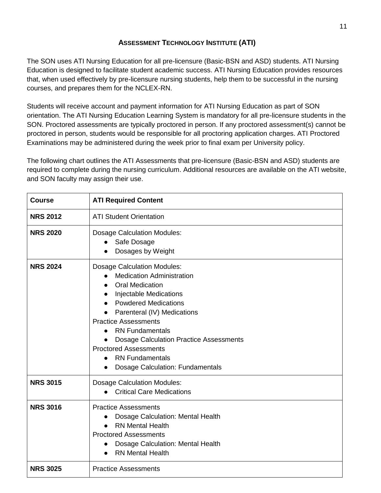# **ASSESSMENT T[ECHNOLOGY](#page-9-2) INSTITUTE (ATI)**

The SON uses ATI Nursing Education for all pre-licensure (Basic-BSN and ASD) students. ATI Nursing Education is designed to facilitate student academic success. ATI Nursing Education provides resources that, when used effectively by pre-licensure nursing students, help them to be successful in the nursing courses, and prepares them for the NCLEX-RN.

Students will receive account and payment information for ATI Nursing Education as part of SON orientation. The ATI Nursing Education Learning System is mandatory for all pre-licensure students in the SON. Proctored assessments are typically proctored in person. If any proctored assessment(s) cannot be proctored in person, students would be responsible for all proctoring application charges. ATI Proctored Examinations may be administered during the week prior to final exam per University policy.

The following chart outlines the ATI Assessments that pre-licensure (Basic-BSN and ASD) students are required to complete during the nursing curriculum. Additional resources are available on the ATI website, and SON faculty may assign their use.

| <b>Course</b>   | <b>ATI Required Content</b>                                                                                                                                                                                                                                                                                                                                                                                     |
|-----------------|-----------------------------------------------------------------------------------------------------------------------------------------------------------------------------------------------------------------------------------------------------------------------------------------------------------------------------------------------------------------------------------------------------------------|
| <b>NRS 2012</b> | <b>ATI Student Orientation</b>                                                                                                                                                                                                                                                                                                                                                                                  |
| <b>NRS 2020</b> | <b>Dosage Calculation Modules:</b><br>Safe Dosage<br>Dosages by Weight                                                                                                                                                                                                                                                                                                                                          |
| <b>NRS 2024</b> | <b>Dosage Calculation Modules:</b><br><b>Medication Administration</b><br><b>Oral Medication</b><br><b>Injectable Medications</b><br><b>Powdered Medications</b><br>Parenteral (IV) Medications<br><b>Practice Assessments</b><br><b>RN Fundamentals</b><br><b>Dosage Calculation Practice Assessments</b><br><b>Proctored Assessments</b><br><b>RN Fundamentals</b><br><b>Dosage Calculation: Fundamentals</b> |
| <b>NRS 3015</b> | <b>Dosage Calculation Modules:</b><br><b>Critical Care Medications</b>                                                                                                                                                                                                                                                                                                                                          |
| <b>NRS 3016</b> | <b>Practice Assessments</b><br>Dosage Calculation: Mental Health<br><b>RN Mental Health</b><br><b>Proctored Assessments</b><br>Dosage Calculation: Mental Health<br><b>RN Mental Health</b>                                                                                                                                                                                                                     |
| <b>NRS 3025</b> | <b>Practice Assessments</b>                                                                                                                                                                                                                                                                                                                                                                                     |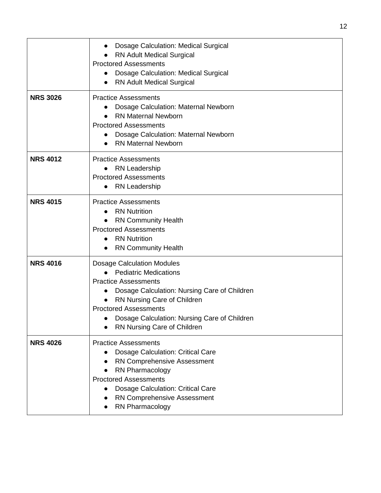|                 | Dosage Calculation: Medical Surgical<br><b>RN Adult Medical Surgical</b><br><b>Proctored Assessments</b><br>Dosage Calculation: Medical Surgical<br>$\bullet$<br>RN Adult Medical Surgical                                                                                                                  |
|-----------------|-------------------------------------------------------------------------------------------------------------------------------------------------------------------------------------------------------------------------------------------------------------------------------------------------------------|
| <b>NRS 3026</b> | <b>Practice Assessments</b><br>Dosage Calculation: Maternal Newborn<br><b>RN Maternal Newborn</b><br><b>Proctored Assessments</b><br>Dosage Calculation: Maternal Newborn<br><b>RN Maternal Newborn</b>                                                                                                     |
| <b>NRS 4012</b> | <b>Practice Assessments</b><br>• RN Leadership<br><b>Proctored Assessments</b><br><b>RN Leadership</b><br>$\bullet$                                                                                                                                                                                         |
| <b>NRS 4015</b> | <b>Practice Assessments</b><br><b>RN Nutrition</b><br><b>RN Community Health</b><br><b>Proctored Assessments</b><br><b>RN Nutrition</b><br>$\bullet$<br><b>RN Community Health</b>                                                                                                                          |
| <b>NRS 4016</b> | <b>Dosage Calculation Modules</b><br><b>Pediatric Medications</b><br><b>Practice Assessments</b><br>Dosage Calculation: Nursing Care of Children<br>$\bullet$<br>RN Nursing Care of Children<br><b>Proctored Assessments</b><br>Dosage Calculation: Nursing Care of Children<br>RN Nursing Care of Children |
| <b>NRS 4026</b> | <b>Practice Assessments</b><br>Dosage Calculation: Critical Care<br><b>RN Comprehensive Assessment</b><br>RN Pharmacology<br><b>Proctored Assessments</b><br><b>Dosage Calculation: Critical Care</b><br>RN Comprehensive Assessment<br>RN Pharmacology                                                     |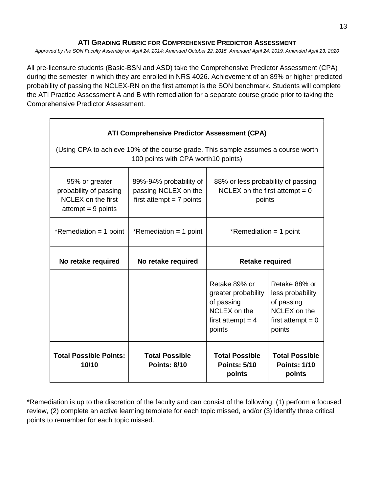#### <span id="page-12-0"></span>**ATI GRADING RUBRIC FOR C[OMPREHENSIVE](#page-12-0) PREDICTOR ASSESSMENT**

*Approved by the SON Faculty Assembly on April 24, 2014; Amended October 22, 2015, Amended April 24, 2019, Amended April 23, 2020*

All pre-licensure students (Basic-BSN and ASD) take the Comprehensive Predictor Assessment (CPA) during the semester in which they are enrolled in NRS 4026. Achievement of an 89% or higher predicted probability of passing the NCLEX-RN on the first attempt is the SON benchmark. Students will complete the ATI Practice Assessment A and B with remediation for a separate course grade prior to taking the Comprehensive Predictor Assessment.

| <b>ATI Comprehensive Predictor Assessment (CPA)</b><br>(Using CPA to achieve 10% of the course grade. This sample assumes a course worth<br>100 points with CPA worth 10 points) |                                                                              |                                                                                                     |                                                                                                  |  |
|----------------------------------------------------------------------------------------------------------------------------------------------------------------------------------|------------------------------------------------------------------------------|-----------------------------------------------------------------------------------------------------|--------------------------------------------------------------------------------------------------|--|
| 95% or greater<br>probability of passing<br><b>NCLEX</b> on the first<br>$\alpha$ attempt = 9 points                                                                             | 89%-94% probability of<br>passing NCLEX on the<br>first attempt $= 7$ points | 88% or less probability of passing<br>NCLEX on the first attempt = $0$<br>points                    |                                                                                                  |  |
| *Remediation = 1 point                                                                                                                                                           | *Remediation = 1 point                                                       | *Remediation = 1 point                                                                              |                                                                                                  |  |
| No retake required                                                                                                                                                               | No retake required                                                           | <b>Retake required</b>                                                                              |                                                                                                  |  |
|                                                                                                                                                                                  |                                                                              | Retake 89% or<br>greater probability<br>of passing<br>NCLEX on the<br>first attempt = $4$<br>points | Retake 88% or<br>less probability<br>of passing<br>NCLEX on the<br>first attempt $= 0$<br>points |  |
| <b>Total Possible Points:</b><br>10/10                                                                                                                                           | <b>Total Possible</b><br><b>Points: 8/10</b>                                 | <b>Total Possible</b><br><b>Points: 5/10</b><br>points                                              | <b>Total Possible</b><br><b>Points: 1/10</b><br>points                                           |  |

\*Remediation is up to the discretion of the faculty and can consist of the following: (1) perform a focused review, (2) complete an active learning template for each topic missed, and/or (3) identify three critical points to remember for each topic missed.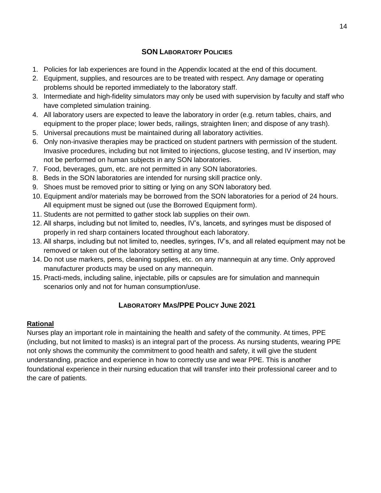## <span id="page-13-0"></span>**SON L[ABORATORY](#page-13-0) POLICIES**

- 1. Policies for lab experiences are found in the Appendix located at the end of this document.
- 2. Equipment, supplies, and resources are to be treated with respect. Any damage or operating problems should be reported immediately to the laboratory staff.
- 3. Intermediate and high-fidelity simulators may only be used with supervision by faculty and staff who have completed simulation training.
- 4. All laboratory users are expected to leave the laboratory in order (e.g. return tables, chairs, and equipment to the proper place; lower beds, railings, straighten linen; and dispose of any trash).
- 5. Universal precautions must be maintained during all laboratory activities.
- 6. Only non-invasive therapies may be practiced on student partners with permission of the student. Invasive procedures, including but not limited to injections, glucose testing, and IV insertion, may not be performed on human subjects in any SON laboratories.
- 7. Food, beverages, gum, etc. are not permitted in any SON laboratories.
- 8. Beds in the SON laboratories are intended for nursing skill practice only.
- 9. Shoes must be removed prior to sitting or lying on any SON laboratory bed.
- 10. Equipment and/or materials may be borrowed from the SON laboratories for a period of 24 hours. All equipment must be signed out (use the Borrowed Equipment form).
- 11. Students are not permitted to gather stock lab supplies on their own.
- 12. All sharps, including but not limited to, needles, IV's, lancets, and syringes must be disposed of properly in red sharp containers located throughout each laboratory.
- 13. All sharps, including but not limited to, needles, syringes, IV's, and all related equipment may not be removed or taken out of the laboratory setting at any time.
- 14. Do not use markers, pens, cleaning supplies, etc. on any mannequin at any time. Only approved manufacturer products may be used on any mannequin.
- 15. Practi-meds, including saline, injectable, pills or capsules are for simulation and mannequin scenarios only and not for human consumption/use.

## <span id="page-13-1"></span>**L[ABORATORY](#page-13-1) MAS/PPE POLICY JUNE 2021**

#### **Rational**

Nurses play an important role in maintaining the health and safety of the community. At times, PPE (including, but not limited to masks) is an integral part of the process. As nursing students, wearing PPE not only shows the community the commitment to good health and safety, it will give the student understanding, practice and experience in how to correctly use and wear PPE. This is another foundational experience in their nursing education that will transfer into their professional career and to the care of patients.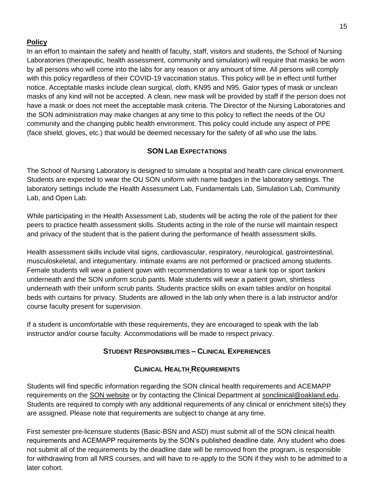## **Policy**

In an effort to maintain the safety and health of faculty, staff, visitors and students, the School of Nursing Laboratories (therapeutic, health assessment, community and simulation) will require that masks be worn by all persons who will come into the labs for any reason or any amount of time. All persons will comply with this policy regardless of their COVID-19 vaccination status. This policy will be in effect until further notice. Acceptable masks include clean surgical, cloth, KN95 and N95. Gator types of mask or unclean masks of any kind will not be accepted. A clean, new mask will be provided by staff if the person does not have a mask or does not meet the acceptable mask criteria. The Director of the Nursing Laboratories and the SON administration may make changes at any time to this policy to reflect the needs of the OU community and the changing public health environment. This policy could include any aspect of PPE (face shield, gloves, etc.) that would be deemed necessary for the safety of all who use the labs.

# <span id="page-14-0"></span>**SON LAB E[XPECTATIONS](#page-14-0)**

The School of Nursing Laboratory is designed to simulate a hospital and health care clinical environment. Students are expected to wear the OU SON uniform with name badges in the laboratory settings. The laboratory settings include the Health Assessment Lab, Fundamentals Lab, Simulation Lab, Community Lab, and Open Lab.

While participating in the Health Assessment Lab, students will be acting the role of the patient for their peers to practice health assessment skills. Students acting in the role of the nurse will maintain respect and privacy of the student that is the patient during the performance of health assessment skills.

Health assessment skills include vital signs, cardiovascular, respiratory, neurological, gastrointestinal, musculoskeletal, and integumentary. Intimate exams are not performed or practiced among students. Female students will wear a patient gown with recommendations to wear a tank top or sport tankini underneath and the SON uniform scrub pants. Male students will wear a patient gown, shirtless underneath with their uniform scrub pants. Students practice skills on exam tables and/or on hospital beds with curtains for privacy. Students are allowed in the lab only when there is a lab instructor and/or course faculty present for supervision.

If a student is uncomfortable with these requirements, they are encouraged to speak with the lab instructor and/or course faculty. Accommodations will be made to respect privacy.

## <span id="page-14-1"></span>**STUDENT R[ESPONSIBILITIES](#page-14-1) – CLINICAL EXPERIENCES**

## <span id="page-14-2"></span>**CLINICAL HEALTH R[EQUIREMENTS](#page-14-2)**

Students will find specific information regarding the SON clinical health requirements and ACEMAPP requirements on the [SON website](https://www.oakland.edu/nursing/) or by contacting the Clinical Department at [sonclinical@oakland.edu.](about:blank) Students are required to comply with any additional requirements of any clinical or enrichment site(s) they are assigned. Please note that requirements are subject to change at any time.

First semester pre-licensure students (Basic-BSN and ASD) must submit all of the SON clinical health requirements and ACEMAPP requirements by the SON's published deadline date. Any student who does not submit all of the requirements by the deadline date will be removed from the program, is responsible for withdrawing from all NRS courses, and will have to re-apply to the SON if they wish to be admitted to a later cohort.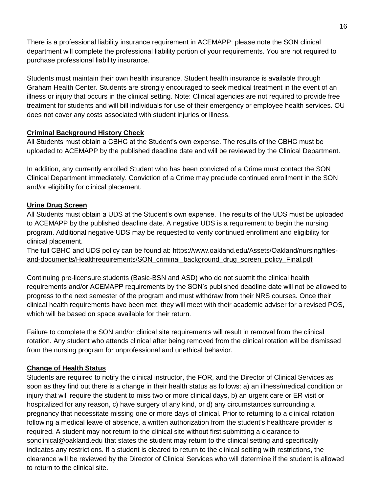There is a professional liability insurance requirement in ACEMAPP; please note the SON clinical department will complete the professional liability portion of your requirements. You are not required to purchase professional liability insurance.

Students must maintain their own health insurance. Student health insurance is available through [Graham Health Center.](https://oakland.edu/ghc/studentinsurance/) Students are strongly encouraged to seek medical treatment in the event of an illness or injury that occurs in the clinical setting. Note: Clinical agencies are not required to provide free treatment for students and will bill individuals for use of their emergency or employee health services. OU does not cover any costs associated with student injuries or illness.

## **Criminal Background History Check**

All Students must obtain a CBHC at the Student's own expense. The results of the CBHC must be uploaded to ACEMAPP by the published deadline date and will be reviewed by the Clinical Department.

In addition, any currently enrolled Student who has been convicted of a Crime must contact the SON Clinical Department immediately. Conviction of a Crime may preclude continued enrollment in the SON and/or eligibility for clinical placement.

## **Urine Drug Screen**

All Students must obtain a UDS at the Student's own expense. The results of the UDS must be uploaded to ACEMAPP by the published deadline date. A negative UDS is a requirement to begin the nursing program. Additional negative UDS may be requested to verify continued enrollment and eligibility for clinical placement.

The full CBHC and UDS policy can be found at: [https://www.oakland.edu/Assets/Oakland/nursing/files](https://www.oakland.edu/Assets/Oakland/nursing/files-and-documents/Healthrequirements/SON_criminal_background_drug_screen_policy_Final.pdf)[and-documents/Healthrequirements/SON\\_criminal\\_background\\_drug\\_screen\\_policy\\_Final.pdf](https://www.oakland.edu/Assets/Oakland/nursing/files-and-documents/Healthrequirements/SON_criminal_background_drug_screen_policy_Final.pdf)

Continuing pre-licensure students (Basic-BSN and ASD) who do not submit the clinical health requirements and/or ACEMAPP requirements by the SON's published deadline date will not be allowed to progress to the next semester of the program and must withdraw from their NRS courses. Once their clinical health requirements have been met, they will meet with their academic adviser for a revised POS, which will be based on space available for their return.

Failure to complete the SON and/or clinical site requirements will result in removal from the clinical rotation. Any student who attends clinical after being removed from the clinical rotation will be dismissed from the nursing program for unprofessional and unethical behavior.

#### **Change of Health Status**

Students are required to notify the clinical instructor, the FOR, and the Director of Clinical Services as soon as they find out there is a change in their health status as follows: a) an illness/medical condition or injury that will require the student to miss two or more clinical days, b) an urgent care or ER visit or hospitalized for any reason, c) have surgery of any kind, or d) any circumstances surrounding a pregnancy that necessitate missing one or more days of clinical. Prior to returning to a clinical rotation following a medical leave of absence, a written authorization from the student's healthcare provider is required. A student may not return to the clinical site without first submitting a clearance to [sonclinical@oakland.edu](mailto:sonclinical@oakland.edu) that states the student may return to the clinical setting and specifically indicates any restrictions. If a student is cleared to return to the clinical setting with restrictions, the clearance will be reviewed by the Director of Clinical Services who will determine if the student is allowed to return to the clinical site.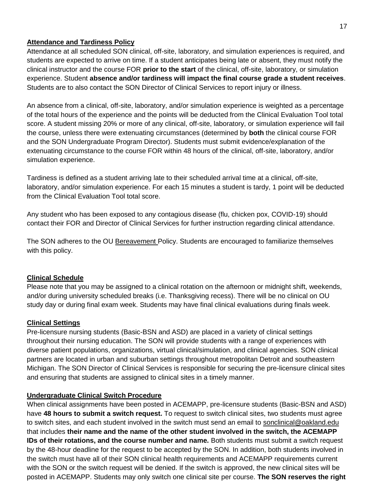#### **Attendance and Tardiness Policy**

Attendance at all scheduled SON clinical, off-site, laboratory, and simulation experiences is required, and students are expected to arrive on time. If a student anticipates being late or absent, they must notify the clinical instructor and the course FOR **prior to the start** of the clinical, off-site, laboratory, or simulation experience. Student **absence and/or tardiness will impact the final course grade a student receives**. Students are to also contact the SON Director of Clinical Services to report injury or illness.

An absence from a clinical, off-site, laboratory, and/or simulation experience is weighted as a percentage of the total hours of the experience and the points will be deducted from the Clinical Evaluation Tool total score. A student missing 20% or more of any clinical, off-site, laboratory, or simulation experience will fail the course, unless there were extenuating circumstances (determined by **both** the clinical course FOR and the SON Undergraduate Program Director). Students must submit evidence/explanation of the extenuating circumstance to the course FOR within 48 hours of the clinical, off-site, laboratory, and/or simulation experience.

Tardiness is defined as a student arriving late to their scheduled arrival time at a clinical, off-site, laboratory, and/or simulation experience. For each 15 minutes a student is tardy, 1 point will be deducted from the Clinical Evaluation Tool total score.

Any student who has been exposed to any contagious disease (flu, chicken pox, COVID-19) should contact their FOR and Director of Clinical Services for further instruction regarding clinical attendance.

The SON adheres to the OU [Bereavement Policy.](https://www.oakland.edu/provost/policies-and-procedures/) Students are encouraged to familiarize themselves with this policy.

#### **Clinical Schedule**

Please note that you may be assigned to a clinical rotation on the afternoon or midnight shift, weekends, and/or during university scheduled breaks (i.e. Thanksgiving recess). There will be no clinical on OU study day or during final exam week. Students may have final clinical evaluations during finals week.

#### **Clinical Settings**

Pre-licensure nursing students (Basic-BSN and ASD) are placed in a variety of clinical settings throughout their nursing education. The SON will provide students with a range of experiences with diverse patient populations, organizations, virtual clinical/simulation, and clinical agencies. SON clinical partners are located in urban and suburban settings throughout metropolitan Detroit and southeastern Michigan. The SON Director of Clinical Services is responsible for securing the pre-licensure clinical sites and ensuring that students are assigned to clinical sites in a timely manner.

#### **Undergraduate Clinical Switch Procedure**

When clinical assignments have been posted in ACEMAPP, pre-licensure students (Basic-BSN and ASD) have **48 hours to submit a switch request.** To request to switch clinical sites, two students must agree to switch sites, and each student involved in the switch must send an email to [sonclinical@oakland.edu](about:blank) that includes **their name and the name of the other student involved in the switch, the ACEMAPP IDs of their rotations, and the course number and name.** Both students must submit a switch request by the 48-hour deadline for the request to be accepted by the SON. In addition, both students involved in the switch must have all of their SON clinical health requirements and ACEMAPP requirements current with the SON or the switch request will be denied. If the switch is approved, the new clinical sites will be posted in ACEMAPP. Students may only switch one clinical site per course. **The SON reserves the right**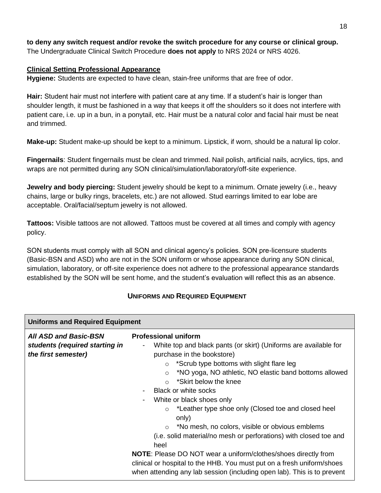#### **to deny any switch request and/or revoke the switch procedure for any course or clinical group.**  The Undergraduate Clinical Switch Procedure **does not apply** to NRS 2024 or NRS 4026.

#### **Clinical Setting Professional Appearance**

**Hygiene:** Students are expected to have clean, stain-free uniforms that are free of odor.

**Hair:** Student hair must not interfere with patient care at any time. If a student's hair is longer than shoulder length, it must be fashioned in a way that keeps it off the shoulders so it does not interfere with patient care, i.e. up in a bun, in a ponytail, etc. Hair must be a natural color and facial hair must be neat and trimmed.

**Make-up:** Student make-up should be kept to a minimum. Lipstick, if worn, should be a natural lip color.

**Fingernails**: Student fingernails must be clean and trimmed. Nail polish, artificial nails, acrylics, tips, and wraps are not permitted during any SON clinical/simulation/laboratory/off-site experience.

**Jewelry and body piercing:** Student jewelry should be kept to a minimum. Ornate jewelry (i.e., heavy chains, large or bulky rings, bracelets, etc.) are not allowed. Stud earrings limited to ear lobe are acceptable. Oral/facial/septum jewelry is not allowed.

**Tattoos:** Visible tattoos are not allowed. Tattoos must be covered at all times and comply with agency policy.

SON students must comply with all SON and clinical agency's policies. SON pre-licensure students (Basic-BSN and ASD) who are not in the SON uniform or whose appearance during any SON clinical, simulation, laboratory, or off-site experience does not adhere to the professional appearance standards established by the SON will be sent home, and the student's evaluation will reflect this as an absence.

#### <span id="page-17-1"></span>**U[NIFORMS AND](#page-17-1) REQUIRED EQUIPMENT**

<span id="page-17-0"></span>

| <b>Uniforms and Required Equipment</b>                                                |                                                                                                                                                                                                                                                                                                                                                                                                                                                                                                                                                     |  |
|---------------------------------------------------------------------------------------|-----------------------------------------------------------------------------------------------------------------------------------------------------------------------------------------------------------------------------------------------------------------------------------------------------------------------------------------------------------------------------------------------------------------------------------------------------------------------------------------------------------------------------------------------------|--|
| <b>All ASD and Basic-BSN</b><br>students (required starting in<br>the first semester) | <b>Professional uniform</b><br>White top and black pants (or skirt) (Uniforms are available for<br>purchase in the bookstore)<br>$\circ$ *Scrub type bottoms with slight flare leg<br>*NO yoga, NO athletic, NO elastic band bottoms allowed<br>$\circ$<br>*Skirt below the knee<br>Black or white socks<br>White or black shoes only<br>*Leather type shoe only (Closed toe and closed heel<br>$\circ$<br>only)<br>*No mesh, no colors, visible or obvious emblems<br>$\circ$<br>(i.e. solid material/no mesh or perforations) with closed toe and |  |
|                                                                                       | heel                                                                                                                                                                                                                                                                                                                                                                                                                                                                                                                                                |  |
|                                                                                       | NOTE: Please DO NOT wear a uniform/clothes/shoes directly from<br>clinical or hospital to the HHB. You must put on a fresh uniform/shoes<br>when attending any lab session (including open lab). This is to prevent                                                                                                                                                                                                                                                                                                                                 |  |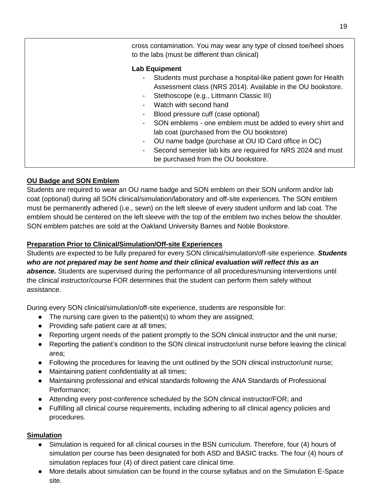| cross contamination. You may wear any type of closed toe/heel shoes<br>to the labs (must be different than clinical)                                                                                                                                                                                                                                                                                                                                                                                                                                                                                |
|-----------------------------------------------------------------------------------------------------------------------------------------------------------------------------------------------------------------------------------------------------------------------------------------------------------------------------------------------------------------------------------------------------------------------------------------------------------------------------------------------------------------------------------------------------------------------------------------------------|
| <b>Lab Equipment</b><br>Students must purchase a hospital-like patient gown for Health<br>$\blacksquare$<br>Assessment class (NRS 2014). Available in the OU bookstore.<br>Stethoscope (e.g., Littmann Classic III)<br>$\blacksquare$<br>Watch with second hand<br>Blood pressure cuff (case optional)<br>SON emblems - one emblem must be added to every shirt and<br>$\sim$<br>lab coat (purchased from the OU bookstore)<br>OU name badge (purchase at OU ID Card office in OC)<br>۰.<br>Second semester lab kits are required for NRS 2024 and must<br>٠<br>be purchased from the OU bookstore. |

## **OU Badge and SON Emblem**

Students are required to wear an OU name badge and SON emblem on their SON uniform and/or lab coat (optional) during all SON clinical/simulation/laboratory and off-site experiences. The SON emblem must be permanently adhered (i.e., sewn) on the left sleeve of every student uniform and lab coat. The emblem should be centered on the left sleeve with the top of the emblem two inches below the shoulder. SON emblem patches are sold at the Oakland University Barnes and Noble Bookstore.

## **Preparation Prior to Clinical/Simulation/Off-site Experiences**

Students are expected to be fully prepared for every SON clinical/simulation/off-site experience. *Students who are not prepared may be sent home and their clinical evaluation will reflect this as an absence.* Students are supervised during the performance of all procedures/nursing interventions until the clinical instructor/course FOR determines that the student can perform them safely without assistance.

During every SON clinical/simulation/off-site experience, students are responsible for:

- The nursing care given to the patient(s) to whom they are assigned;
- Providing safe patient care at all times;
- Reporting urgent needs of the patient promptly to the SON clinical instructor and the unit nurse;
- Reporting the patient's condition to the SON clinical instructor/unit nurse before leaving the clinical area;
- Following the procedures for leaving the unit outlined by the SON clinical instructor/unit nurse;
- Maintaining patient confidentiality at all times;
- Maintaining professional and ethical standards following the ANA Standards of Professional Performance;
- Attending every post-conference scheduled by the SON clinical instructor/FOR; and
- Fulfilling all clinical course requirements, including adhering to all clinical agency policies and procedures.

#### **Simulation**

- Simulation is required for all clinical courses in the BSN curriculum. Therefore, four (4) hours of simulation per course has been designated for both ASD and BASIC tracks. The four (4) hours of simulation replaces four (4) of direct patient care clinical time.
- More details about simulation can be found in the course syllabus and on the Simulation E-Space site.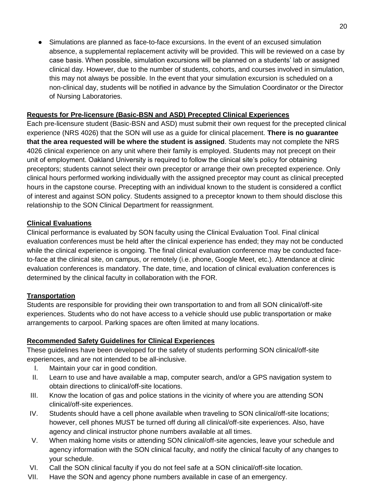● Simulations are planned as face-to-face excursions. In the event of an excused simulation absence, a supplemental replacement activity will be provided. This will be reviewed on a case by case basis. When possible, simulation excursions will be planned on a students' lab or assigned clinical day. However, due to the number of students, cohorts, and courses involved in simulation, this may not always be possible. In the event that your simulation excursion is scheduled on a non-clinical day, students will be notified in advance by the Simulation Coordinator or the Director of Nursing Laboratories.

## **Requests for Pre-licensure (Basic-BSN and ASD) Precepted Clinical Experiences**

Each pre-licensure student (Basic-BSN and ASD) must submit their own request for the precepted clinical experience (NRS 4026) that the SON will use as a guide for clinical placement. **There is no guarantee that the area requested will be where the student is assigned**. Students may not complete the NRS 4026 clinical experience on any unit where their family is employed. Students may not precept on their unit of employment. Oakland University is required to follow the clinical site's policy for obtaining preceptors; students cannot select their own preceptor or arrange their own precepted experience. Only clinical hours performed working individually with the assigned preceptor may count as clinical precepted hours in the capstone course. Precepting with an individual known to the student is considered a conflict of interest and against SON policy. Students assigned to a preceptor known to them should disclose this relationship to the SON Clinical Department for reassignment.

## **Clinical Evaluations**

Clinical performance is evaluated by SON faculty using the Clinical Evaluation Tool. Final clinical evaluation conferences must be held after the clinical experience has ended; they may not be conducted while the clinical experience is ongoing. The final clinical evaluation conference may be conducted faceto-face at the clinical site, on campus, or remotely (i.e. phone, Google Meet, etc.). Attendance at clinic evaluation conferences is mandatory. The date, time, and location of clinical evaluation conferences is determined by the clinical faculty in collaboration with the FOR.

## **Transportation**

Students are responsible for providing their own transportation to and from all SON clinical/off-site experiences. Students who do not have access to a vehicle should use public transportation or make arrangements to carpool. Parking spaces are often limited at many locations.

#### **Recommended Safety Guidelines for Clinical Experiences**

These guidelines have been developed for the safety of students performing SON clinical/off-site experiences, and are not intended to be all-inclusive.

- I. Maintain your car in good condition.
- II. Learn to use and have available a map, computer search, and/or a GPS navigation system to obtain directions to clinical/off-site locations.
- III. Know the location of gas and police stations in the vicinity of where you are attending SON clinical/off-site experiences.
- IV. Students should have a cell phone available when traveling to SON clinical/off-site locations; however, cell phones MUST be turned off during all clinical/off-site experiences. Also, have agency and clinical instructor phone numbers available at all times.
- V. When making home visits or attending SON clinical/off-site agencies, leave your schedule and agency information with the SON clinical faculty, and notify the clinical faculty of any changes to your schedule.
- VI. Call the SON clinical faculty if you do not feel safe at a SON clinical/off-site location.
- VII. Have the SON and agency phone numbers available in case of an emergency.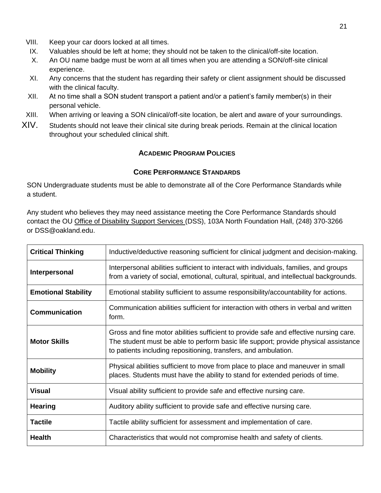- VIII. Keep your car doors locked at all times.
- IX. Valuables should be left at home; they should not be taken to the clinical/off-site location.
- X. An OU name badge must be worn at all times when you are attending a SON/off-site clinical experience.
- XI. Any concerns that the student has regarding their safety or client assignment should be discussed with the clinical faculty.
- XII. At no time shall a SON student transport a patient and/or a patient's family member(s) in their personal vehicle.
- XIII. When arriving or leaving a SON clinical/off-site location, be alert and aware of your surroundings.
- XIV. Students should not leave their clinical site during break periods. Remain at the clinical location throughout your scheduled clinical shift.

#### <span id="page-20-0"></span>**A[CADEMIC](#page-20-0) PROGRAM POLICIES**

#### <span id="page-20-1"></span>**CORE P[ERFORMANCE](#page-20-1) STANDARDS**

SON Undergraduate students must be able to demonstrate all of the Core Performance Standards while a student.

Any student who believes they may need assistance meeting the Core Performance Standards should contact the OU [Office of Disability Support Services \(DSS\),](https://www.oakland.edu/dss/) 103A North Foundation Hall, (248) 370-3266 or DSS@oakland.edu.

<span id="page-20-2"></span>

| <b>Critical Thinking</b>   | Inductive/deductive reasoning sufficient for clinical judgment and decision-making.                                                                                                                                                             |
|----------------------------|-------------------------------------------------------------------------------------------------------------------------------------------------------------------------------------------------------------------------------------------------|
| Interpersonal              | Interpersonal abilities sufficient to interact with individuals, families, and groups<br>from a variety of social, emotional, cultural, spiritual, and intellectual backgrounds.                                                                |
| <b>Emotional Stability</b> | Emotional stability sufficient to assume responsibility/accountability for actions.                                                                                                                                                             |
| <b>Communication</b>       | Communication abilities sufficient for interaction with others in verbal and written<br>form.                                                                                                                                                   |
| <b>Motor Skills</b>        | Gross and fine motor abilities sufficient to provide safe and effective nursing care.<br>The student must be able to perform basic life support; provide physical assistance<br>to patients including repositioning, transfers, and ambulation. |
| <b>Mobility</b>            | Physical abilities sufficient to move from place to place and maneuver in small<br>places. Students must have the ability to stand for extended periods of time.                                                                                |
| <b>Visual</b>              | Visual ability sufficient to provide safe and effective nursing care.                                                                                                                                                                           |
| <b>Hearing</b>             | Auditory ability sufficient to provide safe and effective nursing care.                                                                                                                                                                         |
| <b>Tactile</b>             | Tactile ability sufficient for assessment and implementation of care.                                                                                                                                                                           |
| <b>Health</b>              | Characteristics that would not compromise health and safety of clients.                                                                                                                                                                         |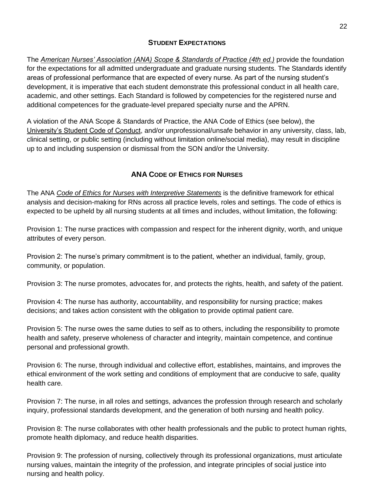## **STUDENT E[XPECTATIONS](#page-20-2)**

Th[e](https://www.nursingworld.org/nurses-books/nursing-scope-and-standards-of-practice-3rd-ed/) *[American Nurses' Association \(ANA\) Scope & Standards of Practice \(4th ed.\)](https://www.nursingworld.org/nurses-books/nursing-scope-and-standards-of-practice-4th-edit/)* provide the foundation for the expectations for all admitted undergraduate and graduate nursing students. The Standards identify areas of professional performance that are expected of every nurse. As part of the nursing student's development, it is imperative that each student demonstrate this professional conduct in all health care, academic, and other settings. Each Standard is followed by competencies for the registered nurse and additional competences for the graduate-level prepared specialty nurse and the APRN.

A violation of the ANA Scope & Standards of Practice, the ANA Code of Ethics (see below), the [University's Student Code of Conduct,](https://oakland.edu/deanofstudents/student-code-of-conduct/core-standards-and-behavioral-expectations/) and/or unprofessional/unsafe behavior in any university, class, lab, clinical setting, or public setting (including without limitation online/social media), may result in discipline up to and including suspension or dismissal from the SON and/or the University.

# <span id="page-21-0"></span>**ANA CODE OF E[THICS FOR](#page-21-0) NURSES**

The ANA *[Code of Ethics for Nurses with Interpretive Statements](https://www.nursingworld.org/nurses-books/code-of-ethics-for-nurses/)* is the definitive framework for ethical analysis and decision-making for RNs across all practice levels, roles and settings. The code of ethics is expected to be upheld by all nursing students at all times and includes, without limitation, the following:

Provision 1: The nurse practices with compassion and respect for the inherent dignity, worth, and unique attributes of every person.

Provision 2: The nurse's primary commitment is to the patient, whether an individual, family, group, community, or population.

Provision 3: The nurse promotes, advocates for, and protects the rights, health, and safety of the patient.

Provision 4: The nurse has authority, accountability, and responsibility for nursing practice; makes decisions; and takes action consistent with the obligation to provide optimal patient care.

Provision 5: The nurse owes the same duties to self as to others, including the responsibility to promote health and safety, preserve wholeness of character and integrity, maintain competence, and continue personal and professional growth.

Provision 6: The nurse, through individual and collective effort, establishes, maintains, and improves the ethical environment of the work setting and conditions of employment that are conducive to safe, quality health care.

Provision 7: The nurse, in all roles and settings, advances the profession through research and scholarly inquiry, professional standards development, and the generation of both nursing and health policy.

Provision 8: The nurse collaborates with other health professionals and the public to protect human rights, promote health diplomacy, and reduce health disparities.

Provision 9: The profession of nursing, collectively through its professional organizations, must articulate nursing values, maintain the integrity of the profession, and integrate principles of social justice into nursing and health policy.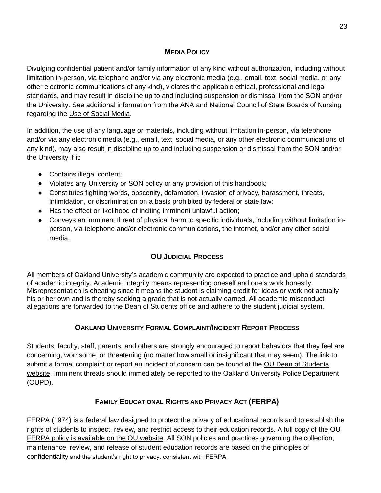## <span id="page-22-0"></span>**MEDIA P[OLICY](#page-22-0)**

Divulging confidential patient and/or family information of any kind without authorization, including without limitation in-person, via telephone and/or via any electronic media (e.g., email, text, social media, or any other electronic communications of any kind), violates the applicable ethical, professional and legal standards, and may result in discipline up to and including suspension or dismissal from the SON and/or the University. See additional information from the ANA and National Council of State Boards of Nursing regarding th[e](https://www.ncsbn.org/Social_Media.pdf) [Use of Social Media.](https://www.ncsbn.org/Social_Media.pdf)

In addition, the use of any language or materials, including without limitation in-person, via telephone and/or via any electronic media (e.g., email, text, social media, or any other electronic communications of any kind), may also result in discipline up to and including suspension or dismissal from the SON and/or the University if it:

- Contains illegal content;
- Violates any University or SON policy or any provision of this handbook;
- Constitutes fighting words, obscenity, defamation, invasion of privacy, harassment, threats, intimidation, or discrimination on a basis prohibited by federal or state law;
- Has the effect or likelihood of inciting imminent unlawful action;
- Conveys an imminent threat of physical harm to specific individuals, including without limitation inperson, via telephone and/or electronic communications, the internet, and/or any other social media.

# <span id="page-22-1"></span>**OU J[UDICIAL](#page-22-1) PROCESS**

All members of Oakland University's academic community are expected to practice and uphold standards of academic integrity. Academic integrity means representing oneself and one's work honestly. Misrepresentation is cheating since it means the student is claiming credit for ideas or work not actually his or her own and is thereby seeking a grade that is not actually earned. All academic misconduct allegations are forwarded to the Dean of Students office and adhere to the [student judicial system.](https://oakland.edu/deanofstudents/student-code-of-conduct/scc-hearing-process/index)

# <span id="page-22-2"></span>**OAKLAND U[NIVERSITY](#page-22-2) FORMAL COMPLAINT/INCIDENT REPORT PROCESS**

<span id="page-22-3"></span>Students, faculty, staff, parents, and others are strongly encouraged to report behaviors that they feel are concerning, worrisome, or threatening (no matter how small or insignificant that may seem). The link to submit a formal complaint or report an incident of concern can be found at the [OU Dean of Students](https://www.oakland.edu/deanofstudents/faculty-staff-resources/report-an-incident/)  [website.](https://www.oakland.edu/deanofstudents/faculty-staff-resources/report-an-incident/) Imminent threats should immediately be reported to the Oakland University Police Department (OUPD).

# <span id="page-22-4"></span>**FAMILY E[DUCATIONAL](#page-22-4) RIGHTS AND PRIVACY ACT (FERPA)**

FERPA (1974) is a federal law designed to protect the privacy of educational records and to establish the rights of students to inspect, review, and restrict access to their education records. A full copy of the [OU](https://www.oakland.edu/deanofstudents/student-privacy-rights-ferpa/ferpa-policy/)  [FERPA policy is available on the OU website.](https://www.oakland.edu/deanofstudents/student-privacy-rights-ferpa/ferpa-policy/) All SON policies and practices governing the collection, maintenance, review, and release of student education records are based on the principles of confidentiality and the student's right to privacy, consistent with FERPA.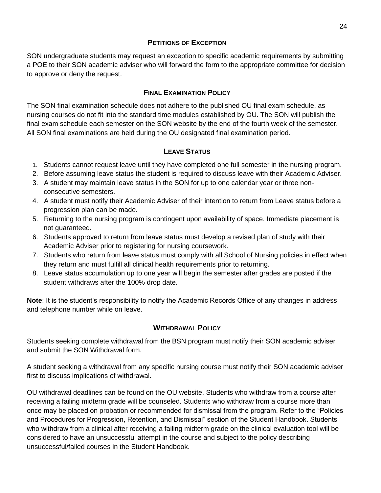## <span id="page-23-0"></span>**P[ETITIONS OF](#page-23-0) EXCEPTION**

SON undergraduate students may request an exception to specific academic requirements by submitting a POE to their SON academic adviser who will forward the form to the appropriate committee for decision to approve or deny the request.

### <span id="page-23-1"></span>**FINAL E[XAMINATION](#page-23-1) POLICY**

The SON final examination schedule does not adhere to the published OU final exam schedule, as nursing courses do not fit into the standard time modules established by OU. The SON will publish the final exam schedule each semester on the SON website by the end of the fourth week of the semester. All SON final examinations are held during the OU designated final examination period.

#### <span id="page-23-2"></span>**LEAVE S[TATUS](#page-23-2)**

- 1. Students cannot request leave until they have completed one full semester in the nursing program.
- 2. Before assuming leave status the student is required to discuss leave with their Academic Adviser.
- 3. A student may maintain leave status in the SON for up to one calendar year or three nonconsecutive semesters.
- 4. A student must notify their Academic Adviser of their intention to return from Leave status before a progression plan can be made.
- 5. Returning to the nursing program is contingent upon availability of space. Immediate placement is not guaranteed.
- 6. Students approved to return from leave status must develop a revised plan of study with their Academic Adviser prior to registering for nursing coursework.
- 7. Students who return from leave status must comply with all School of Nursing policies in effect when they return and must fulfill all clinical health requirements prior to returning.
- 8. Leave status accumulation up to one year will begin the semester after grades are posted if the student withdraws after the 100% drop date.

**Note**: It is the student's responsibility to notify the Academic Records Office of any changes in address and telephone number while on leave.

## <span id="page-23-3"></span>**W[ITHDRAWAL](#page-23-3) POLICY**

Students seeking complete withdrawal from the BSN program must notify their SON academic adviser and submit the SON Withdrawal form.

A student seeking a withdrawal from any specific nursing course must notify their SON academic adviser first to discuss implications of withdrawal.

OU withdrawal deadlines can be found on the OU website. Students who withdraw from a course after receiving a failing midterm grade will be counseled. Students who withdraw from a course more than once may be placed on probation or recommended for dismissal from the program. Refer to the "Policies and Procedures for Progression, Retention, and Dismissal" section of the Student Handbook. Students who withdraw from a clinical after receiving a failing midterm grade on the clinical evaluation tool will be considered to have an unsuccessful attempt in the course and subject to the policy describing unsuccessful/failed courses in the Student Handbook.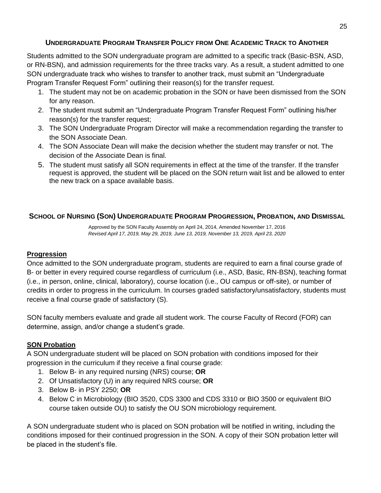# <span id="page-24-0"></span>**U[NDERGRADUATE](#page-24-0) PROGRAM TRANSFER POLICY FROM ONE ACADEMIC TRACK TO ANOTHER**

Students admitted to the SON undergraduate program are admitted to a specific track (Basic-BSN, ASD, or RN-BSN), and admission requirements for the three tracks vary. As a result, a student admitted to one SON undergraduate track who wishes to transfer to another track, must submit an "Undergraduate Program Transfer Request Form" outlining their reason(s) for the transfer request.

- 1. The student may not be on academic probation in the SON or have been dismissed from the SON for any reason.
- 2. The student must submit an "Undergraduate Program Transfer Request Form" outlining his/her reason(s) for the transfer request;
- 3. The SON Undergraduate Program Director will make a recommendation regarding the transfer to the SON Associate Dean.
- 4. The SON Associate Dean will make the decision whether the student may transfer or not. The decision of the Associate Dean is final.
- 5. The student must satisfy all SON requirements in effect at the time of the transfer. If the transfer request is approved, the student will be placed on the SON return wait list and be allowed to enter the new track on a space available basis.

## <span id="page-24-1"></span>**SCHOOL OF NURSING (SON) U[NDERGRADUATE](#page-24-1) PROGRAM PROGRESSION, PROBATION, AND DISMISSAL**

Approved by the SON Faculty Assembly on April 24, 2014, Amended November 17, 2016 *Revised April 17, 2019, May 29, 2019, June 13, 2019, November 13, 2019, April 23, 2020*

#### **Progression**

Once admitted to the SON undergraduate program, students are required to earn a final course grade of B- or better in every required course regardless of curriculum (i.e., ASD, Basic, RN-BSN), teaching format (i.e., in person, online, clinical, laboratory), course location (i.e., OU campus or off-site), or number of credits in order to progress in the curriculum. In courses graded satisfactory/unsatisfactory, students must receive a final course grade of satisfactory (S).

SON faculty members evaluate and grade all student work. The course Faculty of Record (FOR) can determine, assign, and/or change a student's grade.

#### **SON Probation**

A SON undergraduate student will be placed on SON probation with conditions imposed for their progression in the curriculum if they receive a final course grade:

- 1. Below B- in any required nursing (NRS) course; **OR**
- 2. Of Unsatisfactory (U) in any required NRS course; **OR**
- 3. Below B- in PSY 2250; **OR**
- 4. Below C in Microbiology (BIO 3520, CDS 3300 and CDS 3310 or BIO 3500 or equivalent BIO course taken outside OU) to satisfy the OU SON microbiology requirement.

A SON undergraduate student who is placed on SON probation will be notified in writing, including the conditions imposed for their continued progression in the SON. A copy of their SON probation letter will be placed in the student's file.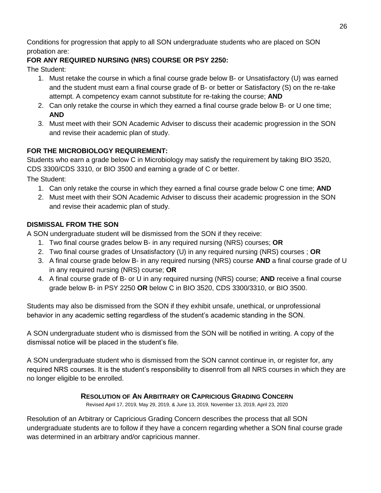Conditions for progression that apply to all SON undergraduate students who are placed on SON probation are:

# **FOR ANY REQUIRED NURSING (NRS) COURSE OR PSY 2250:**

The Student:

- 1. Must retake the course in which a final course grade below B- or Unsatisfactory (U) was earned and the student must earn a final course grade of B- or better or Satisfactory (S) on the re-take attempt. A competency exam cannot substitute for re-taking the course; **AND**
- 2. Can only retake the course in which they earned a final course grade below B- or U one time; **AND**
- 3. Must meet with their SON Academic Adviser to discuss their academic progression in the SON and revise their academic plan of study.

# **FOR THE MICROBIOLOGY REQUIREMENT:**

Students who earn a grade below C in Microbiology may satisfy the requirement by taking BIO 3520, CDS 3300/CDS 3310, or BIO 3500 and earning a grade of C or better.

The Student:

- 1. Can only retake the course in which they earned a final course grade below C one time; **AND**
- 2. Must meet with their SON Academic Adviser to discuss their academic progression in the SON and revise their academic plan of study.

## **DISMISSAL FROM THE SON**

A SON undergraduate student will be dismissed from the SON if they receive:

- 1. Two final course grades below B- in any required nursing (NRS) courses; **OR**
- 2. Two final course grades of Unsatisfactory (U) in any required nursing (NRS) courses ; **OR**
- 3. A final course grade below B- in any required nursing (NRS) course **AND** a final course grade of U in any required nursing (NRS) course; **OR**
- 4. A final course grade of B- or U in any required nursing (NRS) course; **AND** receive a final course grade below B- in PSY 2250 **OR** below C in BIO 3520, CDS 3300/3310, or BIO 3500.

Students may also be dismissed from the SON if they exhibit unsafe, unethical, or unprofessional behavior in any academic setting regardless of the student's academic standing in the SON.

A SON undergraduate student who is dismissed from the SON will be notified in writing. A copy of the dismissal notice will be placed in the student's file.

A SON undergraduate student who is dismissed from the SON cannot continue in, or register for, any required NRS courses. It is the student's responsibility to disenroll from all NRS courses in which they are no longer eligible to be enrolled.

## <span id="page-25-0"></span>**R[ESOLUTION OF](#page-25-0) AN ARBITRARY OR CAPRICIOUS GRADING CONCERN**

Revised April 17, 2019, May 29, 2019, & June 13, 2019, November 13, 2019, April 23, 2020

Resolution of an Arbitrary or Capricious Grading Concern describes the process that all SON undergraduate students are to follow if they have a concern regarding whether a SON final course grade was determined in an arbitrary and/or capricious manner.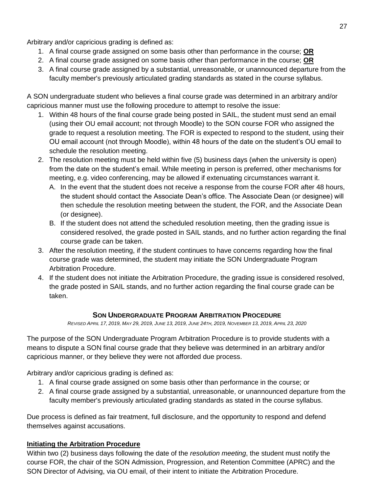Arbitrary and/or capricious grading is defined as:

- 1. A final course grade assigned on some basis other than performance in the course; **OR**
- 2. A final course grade assigned on some basis other than performance in the course; **OR**
- 3. A final course grade assigned by a substantial, unreasonable, or unannounced departure from the faculty member's previously articulated grading standards as stated in the course syllabus.

A SON undergraduate student who believes a final course grade was determined in an arbitrary and/or capricious manner must use the following procedure to attempt to resolve the issue:

- 1. Within 48 hours of the final course grade being posted in SAIL, the student must send an email (using their OU email account; not through Moodle) to the SON course FOR who assigned the grade to request a resolution meeting. The FOR is expected to respond to the student, using their OU email account (not through Moodle), within 48 hours of the date on the student's OU email to schedule the resolution meeting.
- 2. The resolution meeting must be held within five (5) business days (when the university is open) from the date on the student's email. While meeting in person is preferred, other mechanisms for meeting, e.g. video conferencing, may be allowed if extenuating circumstances warrant it.
	- A. In the event that the student does not receive a response from the course FOR after 48 hours, the student should contact the Associate Dean's office. The Associate Dean (or designee) will then schedule the resolution meeting between the student, the FOR, and the Associate Dean (or designee).
	- B. If the student does not attend the scheduled resolution meeting, then the grading issue is considered resolved, the grade posted in SAIL stands, and no further action regarding the final course grade can be taken.
- 3. After the resolution meeting, if the student continues to have concerns regarding how the final course grade was determined, the student may initiate the SON Undergraduate Program Arbitration Procedure.
- 4. If the student does not initiate the Arbitration Procedure, the grading issue is considered resolved, the grade posted in SAIL stands, and no further action regarding the final course grade can be taken.

# <span id="page-26-0"></span>**SON U[NDERGRADUATE](#page-26-0) PROGRAM ARBITRATION PROCEDURE**

REVISED APRIL 17, 2019, MAY 29, 2019, JUNE 13, 2019, JUNE 24TH, 2019, NOVEMBER 13, 2019, APRIL 23, 2020

<span id="page-26-1"></span>The purpose of the SON Undergraduate Program Arbitration Procedure is to provide students with a means to dispute a SON final course grade that they believe was determined in an arbitrary and/or capricious manner, or they believe they were not afforded due process.

Arbitrary and/or capricious grading is defined as:

- 1. A final course grade assigned on some basis other than performance in the course; or
- 2. A final course grade assigned by a substantial, unreasonable, or unannounced departure from the faculty member's previously articulated grading standards as stated in the course syllabus.

Due process is defined as fair treatment, full disclosure, and the opportunity to respond and defend themselves against accusations.

# **Initiating the Arbitration Procedure**

Within two (2) business days following the date of the *resolution meeting*, the student must notify the course FOR, the chair of the SON Admission, Progression, and Retention Committee (APRC) and the SON Director of Advising, via OU email, of their intent to initiate the Arbitration Procedure.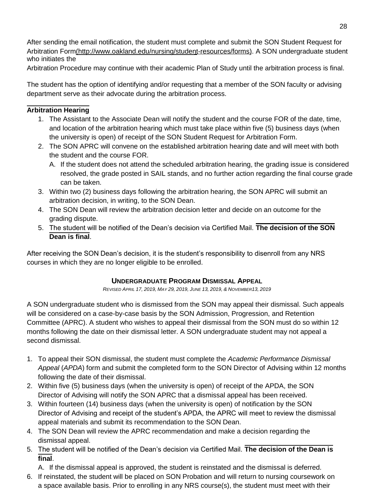After sending the email notification, the student must complete and submit the SON Student Request for Arbitration For[m\(h](about:blank)ttp://www.oakland.edu/nursing/student-resources/forms). A SON undergraduate student who initiates the

Arbitration Procedure may continue with their academic Plan of Study until the arbitration process is final.

The student has the option of identifying and/or requesting that a member of the SON faculty or advising department serve as their advocate during the arbitration process.

#### **Arbitration Hearing**

- 1. The Assistant to the Associate Dean will notify the student and the course FOR of the date, time, and location of the arbitration hearing which must take place within five (5) business days (when the university is open) of receipt of the SON Student Request for Arbitration Form.
- 2. The SON APRC will convene on the established arbitration hearing date and will meet with both the student and the course FOR.
	- A. If the student does not attend the scheduled arbitration hearing, the grading issue is considered resolved, the grade posted in SAIL stands, and no further action regarding the final course grade can be taken.
- 3. Within two (2) business days following the arbitration hearing, the SON APRC will submit an arbitration decision, in writing, to the SON Dean.
- 4. The SON Dean will review the arbitration decision letter and decide on an outcome for the grading dispute.
- 5. The student will be notified of the Dean's decision via Certified Mail. **The decision of the SON Dean is final**.

After receiving the SON Dean's decision, it is the student's responsibility to disenroll from any NRS courses in which they are no longer eligible to be enrolled.

#### <span id="page-27-0"></span>**[U](#page-27-0)NDERGRADUATE PROGRAM DISMISSAL APPEAL**

*REVISED APRIL 17, 2019, MAY 29, 2019, JUNE 13, 2019, & NOVEMBER13, 2019*

<span id="page-27-1"></span>A SON undergraduate student who is dismissed from the SON may appeal their dismissal. Such appeals will be considered on a case-by-case basis by the SON Admission, Progression, and Retention Committee (APRC). A student who wishes to appeal their dismissal from the SON must do so within 12 months following the date on their dismissal letter. A SON undergraduate student may not appeal a second dismissal.

- 1. To appeal their SON dismissal, the student must complete the *Academic Performance Dismissal Appeal* (*APDA*) form and submit the completed form to the SON Director of Advising within 12 months following the date of their dismissal.
- 2. Within five (5) business days (when the university is open) of receipt of the APDA, the SON Director of Advising will notify the SON APRC that a dismissal appeal has been received.
- 3. Within fourteen (14) business days (when the university is open) of notification by the SON Director of Advising and receipt of the student's APDA, the APRC will meet to review the dismissal appeal materials and submit its recommendation to the SON Dean.
- 4. The SON Dean will review the APRC recommendation and make a decision regarding the dismissal appeal.
- 5. The student will be notified of the Dean's decision via Certified Mail. **The decision of the Dean is final**.
	- A. If the dismissal appeal is approved, the student is reinstated and the dismissal is deferred.
- 6. If reinstated, the student will be placed on SON Probation and will return to nursing coursework on a space available basis. Prior to enrolling in any NRS course(s), the student must meet with their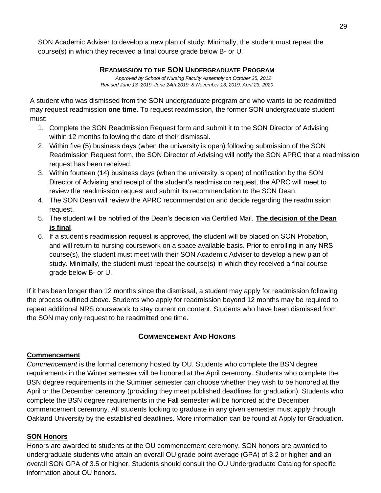SON Academic Adviser to develop a new plan of study. Minimally, the student must repeat the course(s) in which they received a final course grade below B- or U.

#### <span id="page-28-0"></span>**R[EADMISSION TO THE](#page-28-0) SON UNDERGRADUATE PROGRAM**

*Approved by School of Nursing Faculty Assembly on October 25, 2012 Revised June 13, 2019, June 24th 2019, & November 13, 2019, April 23, 2020*

A student who was dismissed from the SON undergraduate program and who wants to be readmitted may request readmission **one time**. To request readmission, the former SON undergraduate student must:

- 1. Complete the SON Readmission Request form and submit it to the SON Director of Advising within 12 months following the date of their dismissal.
- 2. Within five (5) business days (when the university is open) following submission of the SON Readmission Request form, the SON Director of Advising will notify the SON APRC that a readmission request has been received.
- 3. Within fourteen (14) business days (when the university is open) of notification by the SON Director of Advising and receipt of the student's readmission request, the APRC will meet to review the readmission request and submit its recommendation to the SON Dean.
- 4. The SON Dean will review the APRC recommendation and decide regarding the readmission request.
- 5. The student will be notified of the Dean's decision via Certified Mail. **The decision of the Dean is final**.
- 6. If a student's readmission request is approved, the student will be placed on SON Probation, and will return to nursing coursework on a space available basis. Prior to enrolling in any NRS course(s), the student must meet with their SON Academic Adviser to develop a new plan of study. Minimally, the student must repeat the course(s) in which they received a final course grade below B- or U.

If it has been longer than 12 months since the dismissal, a student may apply for readmission following the process outlined above. Students who apply for readmission beyond 12 months may be required to repeat additional NRS coursework to stay current on content. Students who have been dismissed from the SON may only request to be readmitted one time.

## <span id="page-28-1"></span>**C[OMMENCEMENT](#page-28-1) AND HONORS**

#### <span id="page-28-2"></span>**Commencement**

*Commencement* is the formal ceremony hosted by OU. Students who complete the BSN degree requirements in the Winter semester will be honored at the April ceremony. Students who complete the BSN degree requirements in the Summer semester can choose whether they wish to be honored at the April or the December ceremony (providing they meet published deadlines for graduation). Students who complete the BSN degree requirements in the Fall semester will be honored at the December commencement ceremony. All students looking to graduate in any given semester must apply through Oakland University by the established deadlines. More information can be found at [Apply for Graduation.](https://www.oakland.edu/registrar/apply-for-graduation/)

#### <span id="page-28-3"></span>**SON Honors**

Honors are awarded to students at the OU commencement ceremony. SON honors are awarded to undergraduate students who attain an overall OU grade point average (GPA) of 3.2 or higher **and** an overall SON GPA of 3.5 or higher. Students should consult the OU Undergraduate Catalog for specific information about OU honors.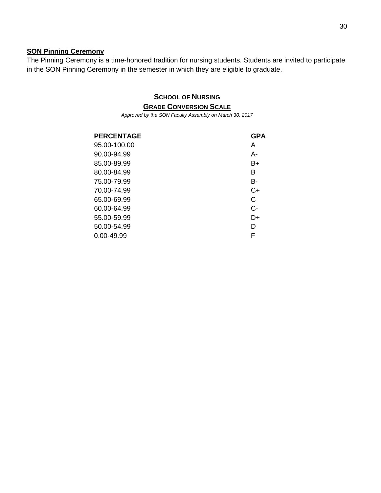#### **SON Pinning Ceremony**

<span id="page-29-0"></span>The Pinning Ceremony is a time-honored tradition for nursing students. Students are invited to participate in the SON Pinning Ceremony in the semester in which they are eligible to graduate.

## <span id="page-29-1"></span>**SCHOOL OF NURSING GRADE C[ONVERSION](#page-29-1) SCALE**

*Approved by the SON Faculty Assembly on March 30, 2017*

| <b>PERCENTAGE</b> | <b>GPA</b> |
|-------------------|------------|
| 95.00-100.00      | A          |
| 90.00-94.99       | А-         |
| 85.00-89.99       | B+         |
| 80.00-84.99       | в          |
| 75.00-79.99       | B-         |
| 70.00-74.99       | C+         |
| 65.00-69.99       | C          |
| 60.00-64.99       | $C -$      |
| 55.00-59.99       | $D+$       |
| 50.00-54.99       | D          |
| 0.00-49.99        | F          |
|                   |            |